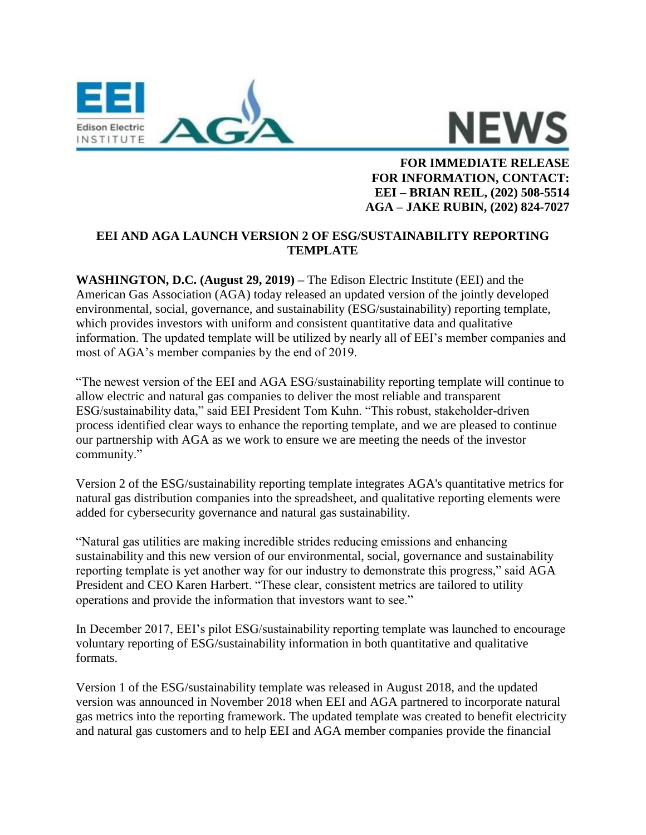

**NEWS** 

**FOR IMMEDIATE RELEASE FOR INFORMATION, CONTACT: EEI – BRIAN REIL, (202) 508-5514 AGA – JAKE RUBIN, (202) 824-7027**

## **EEI AND AGA LAUNCH VERSION 2 OF ESG/SUSTAINABILITY REPORTING TEMPLATE**

**WASHINGTON, D.C. (August 29, 2019) –** The Edison Electric Institute (EEI) and the American Gas Association (AGA) today released an updated version of the jointly developed environmental, social, governance, and sustainability (ESG/sustainability) reporting template, which provides investors with uniform and consistent quantitative data and qualitative information. The updated template will be utilized by nearly all of EEI's member companies and most of AGA's member companies by the end of 2019.

"The newest version of the EEI and AGA ESG/sustainability reporting template will continue to allow electric and natural gas companies to deliver the most reliable and transparent ESG/sustainability data," said EEI President Tom Kuhn. "This robust, stakeholder-driven process identified clear ways to enhance the reporting template, and we are pleased to continue our partnership with AGA as we work to ensure we are meeting the needs of the investor community."

Version 2 of the ESG/sustainability reporting template integrates AGA's quantitative metrics for natural gas distribution companies into the spreadsheet, and qualitative reporting elements were added for cybersecurity governance and natural gas sustainability.

"Natural gas utilities are making incredible strides reducing emissions and enhancing sustainability and this new version of our environmental, social, governance and sustainability reporting template is yet another way for our industry to demonstrate this progress," said AGA President and CEO Karen Harbert. "These clear, consistent metrics are tailored to utility operations and provide the information that investors want to see."

In December 2017, EEI's pilot ESG/sustainability reporting template was launched to encourage voluntary reporting of ESG/sustainability information in both quantitative and qualitative formats.

Version 1 of the ESG/sustainability template was released in August 2018, and the updated version was announced in November 2018 when EEI and AGA partnered to incorporate natural gas metrics into the reporting framework. The updated template was created to benefit electricity and natural gas customers and to help EEI and AGA member companies provide the financial